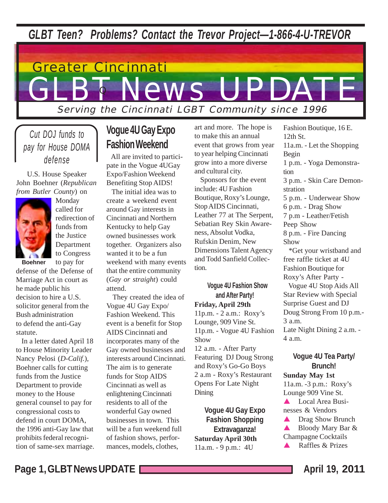*GLBT Teen? Problems? Contact the Trevor Project—1-866-4-U-TREVOR*

# GLBT News Greater Cincinnati Serving the Cincinnati LGBT Community since 1996 T News UPDATE

*Cut DOJ funds to pay for House DOMA defense*

 U.S. House Speaker John Boehner (*Republican from Butler County*) on



Monday called for redirection of funds from the Justice Department to Congress

defense of the Defense of Marriage Act in court as he made public his decision to hire a U.S. solicitor general from the Bush administration to defend the anti-Gay statute.

 In a letter dated April 18 to House Minority Leader Nancy Pelosi (*D-Calif.*), Boehner calls for cutting funds from the Justice Department to provide money to the House general counsel to pay for congressional costs to defend in court DOMA, the 1996 anti-Gay law that prohibits federal recognition of same-sex marriage.

## **Vogue 4U Gay Expo Fashion Weekend**

 All are invited to participate in the Vogue 4UGay Expo/Fashion Weekend Benefiting Stop AIDS!

 The initial idea was to create a weekend event around Gay interests in Cincinnati and Northern Kentucky to help Gay owned businesses work together. Organizers also wanted it to be a fun weekend with many events that the entire community (*Gay or straight*) could attend.

 They created the idea of Vogue 4U Gay Expo/ Fashion Weekend. This event is a benefit for Stop AIDS Cincinnati and incorporates many of the Gay owned businesses and interests around Cincinnati. The aim is to generate funds for Stop AIDS Cincinnati as well as enlightening Cincinnati residents to all of the wonderful Gay owned businesses in town. This will be a fun weekend full of fashion shows, performances, models, clothes,

art and more. The hope is to make this an annual event that grows from year to year helping Cincinnati grow into a more diverse and cultural city.

 Sponsors for the event include: 4U Fashion Boutique, Roxy's Lounge, Stop AIDS Cincinnati, Leather 77 at The Serpent, Sebatian Rey Skin Awareness, Absolut Vodka, Rufskin Denim, New Dimensions Talent Agency and Todd Sanfield Collection.

#### **Vogue 4U Fashion Show and After Party! Friday, April 29th** 11p.m. - 2 a.m.: Roxy's Lounge, 909 Vine St. 11p.m. - Vogue 4U Fashion Show 12 a.m. - After Party Featuring DJ Doug Strong and Roxy's Go-Go Boys 2 a.m - Roxy's Restaurant Opens For Late Night Dining

**Vogue 4U Gay Expo Fashion Shopping Extravaganza! Saturday April 30th** 11a.m. - 9 p.m.: 4U

12th St. 11a.m. - Let the Shopping Begin 1 p.m. - Yoga Demonstration 3 p.m. - Skin Care Demonstration 5 p.m. - Underwear Show 6 p.m. - Drag Show 7 p.m - Leather/Fetish Peep Show 8 p.m. - Fire Dancing Show \*Get your wristband and free raffle ticket at 4U Fashion Boutique for Roxy's After Party - Vogue 4U Stop Aids All Star Review with Special Surprise Guest and DJ Doug Strong From 10 p.m.- 3 a.m. Late Night Dining 2 a.m. - 4 a.m.

Fashion Boutique, 16 E.

#### **Vogue 4U Tea Party/ Brunch!**

**Sunday May 1st** 11a.m. -3 p.m.: Roxy's Lounge 909 Vine St.

**A** Local Area Businesses & Vendors

**A** Drag Show Brunch ▲ Bloody Mary Bar & Champagne Cocktails ! Raffles & Prizes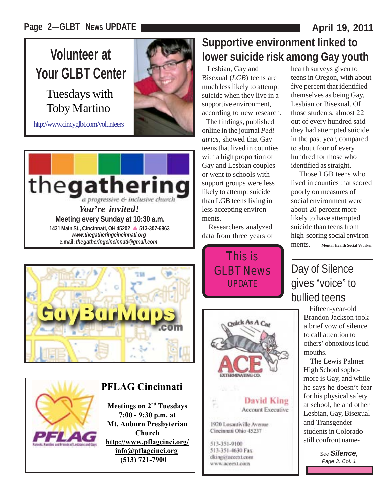**Volunteer at Your GLBT Center**

Tuesdays with Toby Martino

http://www.cincyglbt.com/volunteers







## **PFLAG Cincinnati**

**Meetings on 2<sup>nd</sup> Tuesdays 7:00 - 9:30 p.m. at Mt. Auburn Presbyterian Church http://www.pflagcinci.org/ info@pflagcinci.org (513) 721-7900**

# **Supportive environment linked to lower suicide risk among Gay youth**

 Lesbian, Gay and Bisexual (*LGB*) teens are much less likely to attempt suicide when they live in a supportive environment, according to new research.

 The findings, published online in the journal *Pediatrics*, showed that Gay teens that lived in counties with a high proportion of Gay and Lesbian couples or went to schools with support groups were less likely to attempt suicide than LGB teens living in less accepting environments.

 Researchers analyzed data from three years of

> This is GLBT News UPDATE



**David King Account Executive** 

1920 Losantiville Avenue Cincinnati Ohio 45237

513-351-9100 513-351-4630 Fax dking@aceext.com www.accext.com

health surveys given to teens in Oregon, with about five percent that identified themselves as being Gay, Lesbian or Bisexual. Of those students, almost 22 out of every hundred said they had attempted suicide in the past year, compared to about four of every hundred for those who identified as straight.

 Those LGB teens who lived in counties that scored poorly on measures of social environment were about 20 percent more likely to have attempted suicide than teens from high-scoring social environments. **Mental Health Social Worker**

# Day of Silence gives "voice" to bullied teens

 Fifteen-year-old Brandon Jackson took a brief vow of silence to call attention to others' obnoxious loud mouths.

 The Lewis Palmer High School sophomore is Gay, and while he says he doesn't fear for his physical safety at school, he and other Lesbian, Gay, Bisexual and Transgender students in Colorado still confront name-

> *See Silence, Page 3, Col. 1*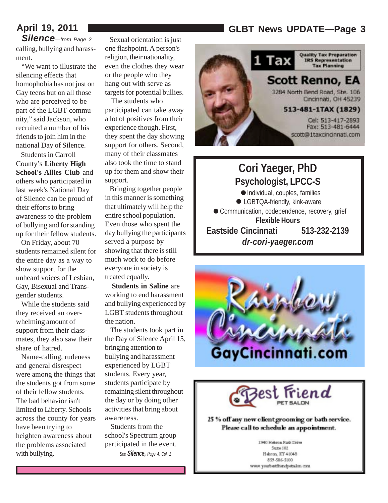## **April 19, 2011 GLBT News UPDATE—Page 3**

*Silence—from Page 2* calling, bullying and harassment.

 "We want to illustrate the silencing effects that homophobia has not just on Gay teens but on all those who are perceived to be part of the LGBT community," said Jackson, who recruited a number of his friends to join him in the national Day of Silence.

 Students in Carroll County's **Liberty High School's Allies Club** and others who participated in last week's National Day of Silence can be proud of their efforts to bring awareness to the problem of bullying and for standing up for their fellow students.

 On Friday, about 70 students remained silent for the entire day as a way to show support for the unheard voices of Lesbian, Gay, Bisexual and Transgender students.

 While the students said they received an overwhelming amount of support from their classmates, they also saw their share of hatred.

 Name-calling, rudeness and general disrespect were among the things that the students got from some of their fellow students. The bad behavior isn't limited to Liberty. Schools across the county for years have been trying to heighten awareness about the problems associated with bullying.

 Sexual orientation is just one flashpoint. A person's religion, their nationality, even the clothes they wear or the people who they hang out with serve as targets for potential bullies.

 The students who participated can take away a lot of positives from their experience though. First, they spent the day showing support for others. Second, many of their classmates also took the time to stand up for them and show their support.

 Bringing together people in this manner is something that ultimately will help the entire school population. Even those who spent the day bullying the participants served a purpose by showing that there is still much work to do before everyone in society is treated equally.

 **Students in Saline** are working to end harassment and bullying experienced by LGBT students throughout the nation.

 The students took part in the Day of Silence April 15, bringing attention to bullying and harassment experienced by LGBT students. Every year, students participate by remaining silent throughout the day or by doing other activities that bring about awareness.

 Students from the school's Spectrum group participated in the event. *See Silence, Page 4, Col. 1*



**Cori Yaeger, PhD**<br> **Sychologist, LPCC-9**<br>
• Individual, couples, familie<br>
• LGBTOA friendly, kink-awar **Psychologist, LPCC-S** Individual, couples, families ● LGBTQA-friendly, kink-aware Communication, codependence, recovery, grief **Flexible Hours Eastside Cincinnati 513-232-2139** *dr-cori-yaeger.com*  $P_s$ .





25 % off any new client grooming or bath service. Please call to schedule an appointment.

> 2940 Hebron Park Drive Suite 102 Hebron, RY 41048 859-586-5100 www.yourbestfromdpetalon.com